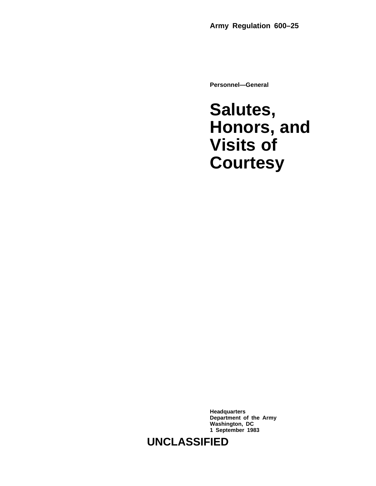**Personnel—General**

### **Salutes, Honors, and Visits of Courtesy**

**Headquarters Department of the Army Washington, DC 1 September 1983**

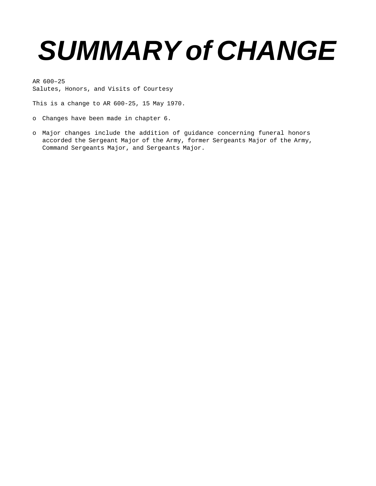## **SUMMARY of CHANGE**

AR 600–25 Salutes, Honors, and Visits of Courtesy

This is a change to AR 600-25, 15 May 1970.

- o Changes have been made in chapter 6.
- o Major changes include the addition of guidance concerning funeral honors accorded the Sergeant Major of the Army, former Sergeants Major of the Army, Command Sergeants Major, and Sergeants Major.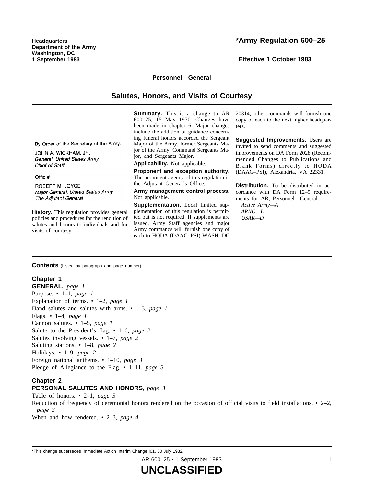**Headquarters Department of the Army Washington, DC 1 September 1983**

**Effective 1 October 1983**

#### **Personnel—General**

#### **Salutes, Honors, and Visits of Courtesy**

**Summary.** This is a change to AR 600-25, 15 May 1970. Changes have been made in chapter 6. Major changes include the addition of guidance concerning funeral honors accorded the Sergeant Major of the Army, former Sergeants Major of the Army, Command Sergeants Major, and Sergeants Major.

**Applicability.** Not applicable.

**Proponent and exception authority.** The proponent agency of this regulation is the Adjutant General's Office.

**Army management control process.** Not applicable.

**Supplementation.** Local limited supplementation of this regulation is permitted but is not required. If supplements are issued, Army Staff agencies and major Army commands will furnish one copy of each to HQDA (DAAG–PSI) WASH, DC 20314; other commands will furnish one copy of each to the next higher headquarters.

**Suggested Improvements.** Users are invited to send comments and suggested improvements on DA Form 2028 (Recommended Changes to Publications and Blank Forms) directly to HQDA (DAAG–PSI), Alexandria, VA 22331.

**Distribution.** To be distributed in accordance with DA Form 12-9 requirements for AR, Personnel—General.

*Active Army—A ARNG—D USAR—D*

By Order of the Secretary of the Army:

JOHN A. WICKHAM, JR. General, United States Army Chief of Staff

Official:

ROBERT M. JOYCE Major General, United States Army The Adjutant General

**History.** This regulation provides general policies and procedures for the rendition of salutes and honors to individuals and for visits of courtesy.

**Contents** (Listed by paragraph and page number)

#### **Chapter 1**

**GENERAL,** *page 1* Purpose. • 1–1, *page 1* Explanation of terms. • 1–2, *page 1* Hand salutes and salutes with arms. • 1–3, *page 1* Flags. • 1–4, *page 1* Cannon salutes. • 1–5, *page 1* Salute to the President's flag. • 1–6, *page 2* Salutes involving vessels. • 1–7, *page 2* Saluting stations. • 1–8, *page 2* Holidays. • 1–9, *page 2* Foreign national anthems. • 1–10, *page 3* Pledge of Allegiance to the Flag. • 1–11, *page 3*

#### **Chapter 2**

#### **PERSONAL SALUTES AND HONORS,** *page 3*

Table of honors. • 2–1, *page 3* Reduction of frequency of ceremonial honors rendered on the occasion of official visits to field installations.  $\cdot$  2–2, *page 3* When and how rendered. • 2–3, *page 4*

\*This change supersedes Immediate Action Interim Change I01, 30 July 1982.

AR 600–25 • 1 September 1983 i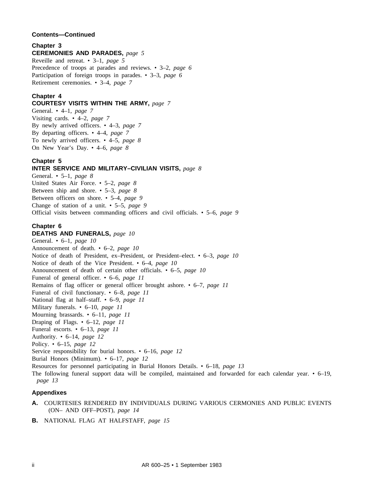#### **Contents—Continued**

#### **Chapter 3**

#### **CEREMONIES AND PARADES,** *page 5*

Reveille and retreat. • 3–1, *page 5* Precedence of troops at parades and reviews. • 3–2, *page 6* Participation of foreign troops in parades. • 3–3, *page 6* Retirement ceremonies. • 3–4, *page 7*

#### **Chapter 4**

#### **COURTESY VISITS WITHIN THE ARMY,** *page 7*

General. • 4–1, *page 7* Visiting cards. • 4–2, *page 7* By newly arrived officers. • 4–3, *page 7* By departing officers. • 4–4, *page 7* To newly arrived officers. • 4–5, *page 8* On New Year's Day. • 4–6, *page 8*

#### **Chapter 5**

#### **INTER SERVICE AND MILITARY–CIVILIAN VISITS,** *page 8*

General. • 5–1, *page 8* United States Air Force. • 5–2, *page 8* Between ship and shore. • 5–3, *page 8* Between officers on shore. • 5–4, *page 9* Change of station of a unit. • 5–5, *page 9* Official visits between commanding officers and civil officials. • 5–6, *page 9*

#### **Chapter 6**

#### **DEATHS AND FUNERALS,** *page 10*

General. • 6–1, *page 10* Announcement of death. • 6–2, *page 10* Notice of death of President, ex–President, or President–elect. • 6–3, *page 10* Notice of death of the Vice President. • 6–4, *page 10* Announcement of death of certain other officials. • 6–5, *page 10* Funeral of general officer. • 6–6, *page 11* Remains of flag officer or general officer brought ashore. • 6–7, *page 11* Funeral of civil functionary. • 6–8, *page 11* National flag at half–staff. • 6–9, *page 11* Military funerals. • 6–10, *page 11* Mourning brassards. • 6–11, *page 11* Draping of Flags. • 6–12, *page 11* Funeral escorts. • 6–13, *page 11* Authority. • 6–14, *page 12* Policy. • 6–15, *page 12* Service responsibility for burial honors. • 6–16, *page 12* Burial Honors (Minimum). • 6–17, *page 12* Resources for personnel participating in Burial Honors Details. • 6–18, *page 13* The following funeral support data will be compiled, maintained and forwarded for each calendar year. • 6–19, *page 13*

#### **Appendixes**

- **A.** COURTESIES RENDERED BY INDIVIDUALS DURING VARIOUS CERMONIES AND PUBLIC EVENTS (ON– AND OFF–POST), *page 14*
- **B.** NATIONAL FLAG AT HALFSTAFF, *page 15*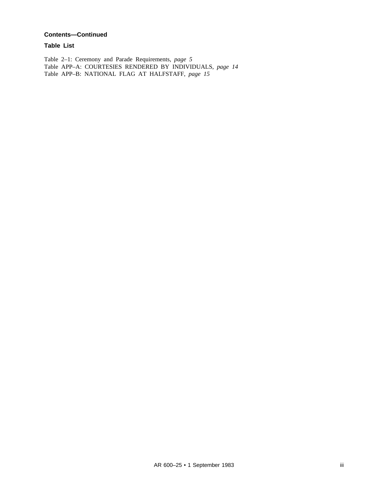#### **Contents—Continued**

**Table List**

Table 2–1: Ceremony and Parade Requirements, *page 5* Table APP–A: COURTESIES RENDERED BY INDIVIDUALS, *page 14* Table APP–B: NATIONAL FLAG AT HALFSTAFF, *page 15*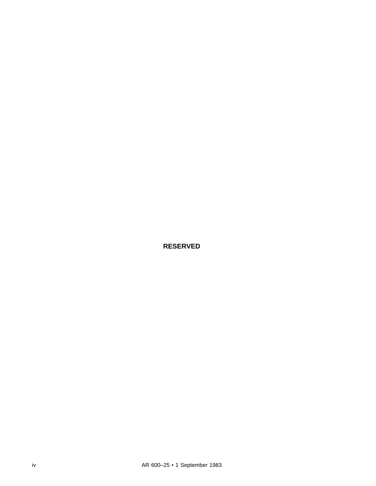**RESERVED**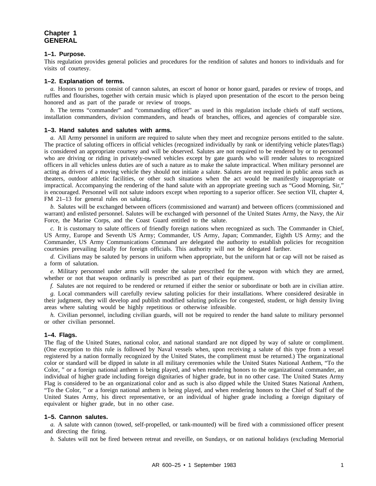#### **Chapter 1 GENERAL**

#### **1–1. Purpose.**

This regulation provides general policies and procedures for the rendition of salutes and honors to individuals and for visits of courtesy.

#### **1–2. Explanation of terms.**

*a.* Honors to persons consist of cannon salutes, an escort of honor or honor guard, parades or review of troops, and ruffles and flourishes, together with certain music which is played upon presentation of the escort to the person being honored and as part of the parade or review of troops.

*b.* The terms "commander" and "commanding officer" as used in this regulation include chiefs of staff sections, installation commanders, division commanders, and heads of branches, offices, and agencies of comparable size.

#### **1–3. Hand salutes and salutes with arms.**

*a.* All Army personnel in uniform are required to salute when they meet and recognize persons entitled to the salute. The practice of saluting officers in official vehicles (recognized individually by rank or identifying vehicle plates/flags) is considered an appropriate courtesy and will be observed. Salutes are not required to be rendered by or to personnel who are driving or riding in privately-owned vehicles except by gate guards who will render salutes to recognized officers in all vehicles unless duties are of such a nature as to make the salute impractical. When military personnel are acting as drivers of a moving vehicle they should not initiate a salute. Salutes are not required in public areas such as theaters, outdoor athletic facilities, or other such situations when the act would be manifestly inappropriate or impractical. Accompanying the rendering of the hand salute with an appropriate greeting such as "Good Morning, Sir," is encouraged. Personnel will not salute indoors except when reporting to a superior officer. See section VII, chapter 4, FM 21–13 for general rules on saluting.

*b.* Salutes will be exchanged between officers (commissioned and warrant) and between officers (commissioned and warrant) and enlisted personnel. Salutes will be exchanged with personnel of the United States Army, the Navy, the Air Force, the Marine Corps, and the Coast Guard entitled to the salute.

*c.* It is customary to salute officers of friendly foreign nations when recognized as such. The Commander in Chief, US Army, Europe and Seventh US Army; Commander, US Army, Japan; Commander, Eighth US Army; and the Commander, US Army Communications Command are delegated the authority to establish policies for recognition courtesies prevailing locally for foreign officials. This authority will not be delegated farther.

*d.* Civilians may be saluted by persons in uniform when appropriate, but the uniform hat or cap will not be raised as a form of salutation.

*e.* Military personnel under arms will render the salute prescribed for the weapon with which they are armed, whether or not that weapon ordinarily is prescribed as part of their equipment.

*f.* Salutes are not required to be rendered or returned if either the senior or subordinate or both are in civilian attire.

*g.* Local commanders will carefully review saluting policies for their installations. Where considered desirable in their judgment, they will develop and publish modified saluting policies for congested, student, or high density living areas where saluting would be highly repetitious or otherwise infeasible.

*h.* Civilian personnel, including civilian guards, will not be required to render the hand salute to military personnel or other civilian personnel.

#### **1–4. Flags.**

The flag of the United States, national color, and national standard are not dipped by way of salute or compliment. (One exception to this rule is followed by Naval vessels when, upon receiving a salute of this type from a vessel registered by a nation formally recognized by the United States, the compliment must be returned.) The organizational color or standard will be dipped in salute in all military ceremonies while the United States National Anthem, "To the Color, " or a foreign national anthem is being played, and when rendering honors to the organizational commander, an individual of higher grade including foreign dignitaries of higher grade, but in no other case. The United States Army Flag is considered to be an organizational color and as such is also dipped while the United States National Anthem, "To the Color, " or a foreign national anthem is being played, and when rendering honors to the Chief of Staff of the United States Army, his direct representative, or an individual of higher grade including a foreign dignitary of equivalent or higher grade, but in no other case.

#### **1–5. Cannon salutes.**

*a.* A salute with cannon (towed, self-propelled, or tank-mounted) will be fired with a commissioned officer present and directing the firing.

*b.* Salutes will not be fired between retreat and reveille, on Sundays, or on national holidays (excluding Memorial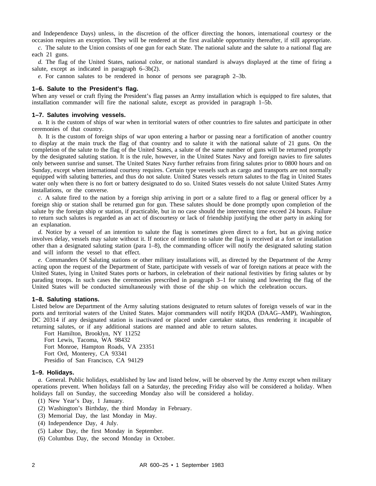and Independence Days) unless, in the discretion of the officer directing the honors, international courtesy or the occasion requires an exception. They will be rendered at the first available opportunity thereafter, if still appropriate.

*c.* The salute to the Union consists of one gun for each State. The national salute and the salute to a national flag are each 21 guns.

*d.* The flag of the United States, national color, or national standard is always displayed at the time of firing a salute, except as indicated in paragraph 6–3b(2).

*e.* For cannon salutes to be rendered in honor of persons see paragraph 2–3b.

#### **1–6. Salute to the President's flag.**

When any vessel or craft flying the President's flag passes an Army installation which is equipped to fire salutes, that installation commander will fire the national salute, except as provided in paragraph 1–5b.

#### **1–7. Salutes involving vessels.**

*a.* It is the custom of ships of war when in territorial waters of other countries to fire salutes and participate in other ceremonies of that country.

*b.* It is the custom of foreign ships of war upon entering a harbor or passing near a fortification of another country to display at the main truck the flag of that country and to salute it with the national salute of 21 guns. On the completion of the salute to the flag of the United States, a salute of the same number of guns will be returned promptly by the designated saluting station. It is the rule, however, in the United States Navy and foreign navies to fire salutes only between sunrise and sunset. The United States Navy further refrains from firing salutes prior to 0800 hours and on Sunday, except when international courtesy requires. Certain type vessels such as cargo and transports are not normally equipped with saluting batteries, and thus do not salute. United States vessels return salutes to the flag in United States water only when there is no fort or battery designated to do so. United States vessels do not salute United States Army installations, or the converse.

*c.* A salute fired to the nation by a foreign ship arriving in port or a salute fired to a flag or general officer by a foreign ship or station shall be returned gun for gun. These salutes should be done promptly upon completion of the salute by the foreign ship or station, if practicable, but in no case should the intervening time exceed 24 hours. Failure to return such salutes is regarded as an act of discourtesy or lack of friendship justifying the other party in asking for an explanation.

*d.* Notice by a vessel of an intention to salute the flag is sometimes given direct to a fort, but as giving notice involves delay, vessels may salute without it. If notice of intention to salute the flag is received at a fort or installation other than a designated saluting station (para 1–8), the commanding officer will notify the designated saluting station and will inform the vessel to that effect.

*e.* Commanders Of Saluting stations or other military installations will, as directed by the Department of the Army acting upon the request of the Department of State, participate with vessels of war of foreign nations at peace with the United States, lying in United States ports or harbors, in celebration of their national festivities by firing salutes or by parading troops. In such cases the ceremonies prescribed in paragraph 3–1 for raising and lowering the flag of the United States will be conducted simultaneously with those of the ship on which the celebration occurs.

#### **1–8. Saluting stations.**

Listed below are Department of the Army saluting stations designated to return salutes of foreign vessels of war in the ports and territorial waters of the United States. Major commanders will notify HQDA (DAAG–AMP), Washington, DC 20314 if any designated station is inactivated or placed under caretaker status, thus rendering it incapable of returning salutes, or if any additional stations are manned and able to return salutes.

Fort Hamilton, Brooklyn, NY 11252 Fort Lewis, Tacoma, WA 98432 Fort Monroe, Hampton Roads, VA 23351 Fort Ord, Monterey, CA 93341 Presidio of San Francisco, CA 94129

#### **1–9. Holidays.**

*a.* General. Public holidays, established by law and listed below, will be observed by the Army except when military operations prevent. When holidays fall on a Saturday, the preceding Friday also will be considered a holiday. When holidays fall on Sunday, the succeeding Monday also will be considered a holiday.

- (1) New Year's Day, 1 January.
- (2) Washington's Birthday, the third Monday in February.
- (3) Memorial Day, the last Monday in May.
- (4) Independence Day, 4 July.
- (5) Labor Day, the first Monday in September.
- (6) Columbus Day, the second Monday in October.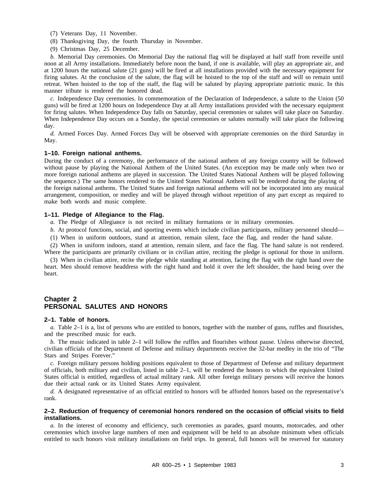- (7) Veterans Day, 11 November.
- (8) Thanksgiving Day, the fourth Thursday in November.
- (9) Christmas Day, 25 December.

*b.* Memorial Day ceremonies. On Memorial Day the national flag will be displayed at half staff from reveille until noon at all Army installations. Immediately before noon the band, if one is available, will play an appropriate air, and at 1200 hours the national salute (21 guns) will be fired at all installations provided with the necessary equipment for firing salutes. At the conclusion of the salute, the flag will be hoisted to the top of the staff and will so remain until retreat. When hoisted to the top of the staff, the flag will be saluted by playing appropriate patriotic music. In this manner tribute is rendered the honored dead.

*c.* Independence Day ceremonies. In commemoration of the Declaration of Independence, a salute to the Union (50 guns) will be fired at 1200 hours on Independence Day at all Army installations provided with the necessary equipment for firing salutes. When Independence Day falls on Saturday, special ceremonies or salutes will take place on Saturday. When Independence Day occurs on a Sunday, the special ceremonies or salutes normally will take place the following day.

*d.* Armed Forces Day. Armed Forces Day will be observed with appropriate ceremonies on the third Saturday in May.

#### **1–10. Foreign national anthems.**

During the conduct of a ceremony, the performance of the national anthem of any foreign country will be followed without pause by playing the National Anthem of the United States. (An exception may be made only when two or more foreign national anthems are played in succession. The United States National Anthem will be played following the sequence.) The same honors rendered to the United States National Anthem will be rendered during the playing of the foreign national anthems. The United States and foreign national anthems will not be incorporated into any musical arrangement, composition, or medley and will be played through without repetition of any part except as required to make both words and music complete.

#### **1–11. Pledge of Allegiance to the Flag.**

*a.* The Pledge of Allegiance is not recited in military formations or in military ceremonies.

- *b.* At protocol functions, social, and sporting events which include civilian participants, military personnel should—
- (1) When in uniform outdoors, stand at attention, remain silent, face the flag, and render the hand salute.

(2) When in uniform indoors, stand at attention, remain silent, and face the flag. The hand salute is not rendered. Where the participants are primarily civilians or in civilian attire, reciting the pledge is optional for those in uniform.

(3) When in civilian attire, recite the pledge while standing at attention, facing the flag with the right hand over the heart. Men should remove headdress with the right hand and hold it over the left shoulder, the hand being over the heart.

#### **Chapter 2 PERSONAL SALUTES AND HONORS**

#### **2–1. Table of honors.**

*a.* Table 2–1 is a, list of persons who are entitled to honors, together with the number of guns, ruffles and flourishes, and the prescribed music for each.

*b.* The music indicated in table 2–1 will follow the ruffles and flourishes without pause. Unless otherwise directed, civilian officials of the Department of Defense and military departments receive the 32-bar medley in the trio of "The Stars and Stripes Forever."

*c.* Foreign military persons holding positions equivalent to those of Department of Defense and military department of officials, both military and civilian, listed in table 2–1, will be rendered the honors to which the equivalent United States official is entitled, regardless of actual military rank. All other foreign military persons will receive the honors due their actual rank or its United States Army equivalent.

*d.* A designated representative of an official entitled to honors will be afforded honors based on the representative's rank.

#### **2–2. Reduction of frequency of ceremonial honors rendered on the occasion of official visits to field installations.**

*a.* In the interest of economy and efficiency, such ceremonies as parades, guard mounts, motorcades, and other ceremonies which involve large numbers of men and equipment will be held to an absolute minimum when officials entitled to such honors visit military installations on field trips. In general, full honors will be reserved for statutory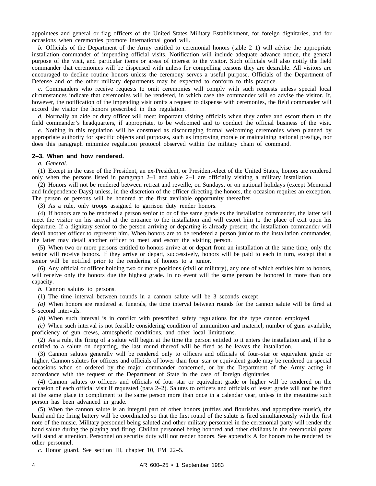appointees and general or flag officers of the United States Military Establishment, for foreign dignitaries, and for occasions when ceremonies promote international good will.

*b.* Officials of the Department of the Army entitled to ceremonial honors (table 2–1) will advise the appropriate installation commander of impending official visits. Notification will include adequate advance notice, the general purpose of the visit, and particular items or areas of interest to the visitor. Such officials will also notify the field commander that ceremonies will be dispensed with unless for compelling reasons they are desirable. All visitors are encouraged to decline routine honors unless the ceremony serves a useful purpose. Officials of the Department of Defense and of the other military departments may be expected to conform to this practice.

*c.* Commanders who receive requests to omit ceremonies will comply with such requests unless special local circumstances indicate that ceremonies will be rendered, in which case the commander will so advise the visitor. If, however, the notification of the impending visit omits a request to dispense with ceremonies, the field commander will accord the visitor the honors prescribed in this regulation.

*d.* Normally an aide or duty officer will meet important visiting officials when they arrive and escort them to the field commander's headquarters, if appropriate, to be welcomed and to conduct the official business of the visit.

*e.* Nothing in this regulation will be construed as discouraging formal welcoming ceremonies when planned by appropriate authority for specific objects and purposes, such as improving morale or maintaining national prestige, nor does this paragraph minimize regulation protocol observed within the military chain of command.

#### **2–3. When and how rendered.**

*a. General.*

(1) Except in the case of the President, an ex-President, or President-elect of the United States, honors are rendered only when the persons listed in paragraph 2–1 and table 2–1 are officially visiting a military installation.

(2) Honors will not be rendered between retreat and reveille, on Sundays, or on national holidays (except Memorial and Independence Days) unless, in the discretion of the officer directing the honors, the occasion requires an exception. The person or persons will be honored at the first available opportunity thereafter.

(3) As a rule, only troops assigned to garrison duty render honors.

(4) If honors are to be rendered a person senior to or of the same grade as the installation commander, the latter will meet the visitor on his arrival at the entrance to the installation and will escort him to the place of exit upon his departure. If a dignitary senior to the person arriving or departing is already present, the installation commander will detail another officer to represent him. When honors are to be rendered a person junior to the installation commander, the latter may detail another officer to meet and escort the visiting person.

(5) When two or more persons entitled to honors arrive at or depart from an installation at the same time, only the senior will receive honors. If they arrive or depart, successively, honors will be paid to each in turn, except that a senior will be notified prior to the rendering of honors to a junior.

(6) Any official or officer holding two or more positions (civil or military), any one of which entitles him to honors, will receive only the honors due the highest grade. In no event will the same person be honored in more than one capacity.

*b.* Cannon salutes to persons.

(1) The time interval between rounds in a cannon salute will be 3 seconds except—

*(a)* When honors are rendered at funerals, the time interval between rounds for the cannon salute will be fired at 5–second intervals.

*(b)* When such interval is in conflict with prescribed safety regulations for the type cannon employed.

*(c)* When such interval is not feasible considering condition of ammunition and materiel, number of guns available, proficiency of gun crews, atmospheric conditions, and other local limitations.

(2) As a rule, the firing of a salute will begin at the time the person entitled to it enters the installation and, if he is entitled to a salute on departing, the last round thereof will be fired as he leaves the installation.

(3) Cannon salutes generally will be rendered only to officers and officials of four–star or equivalent grade or higher. Cannon salutes for officers and officials of lower than four–star or equivalent grade may be rendered on special occasions when so ordered by the major commander concerned, or by the Department of the Army acting in accordance with the request of the Department of State in the case of foreign dignitaries.

(4) Cannon salutes to officers and officials of four–star or equivalent grade or higher will be rendered on the occasion of each official visit if requested (para 2–2). Salutes to officers and officials of lesser grade will not be fired at the same place in compliment to the same person more than once in a calendar year, unless in the meantime such person has been advanced in grade.

(5) When the cannon salute is an integral part of other honors (ruffles and flourishes and appropriate music), the band and the firing battery will be coordinated so that the first round of the salute is fired simultaneously with the first note of the music. Military personnel being saluted and other military personnel in the ceremonial party will render the hand salute during the playing and firing. Civilian personnel being honored and other civilians in the ceremonial party will stand at attention. Personnel on security duty will not render honors. See appendix A for honors to be rendered by other personnel.

*c.* Honor guard. See section III, chapter 10, FM 22–5.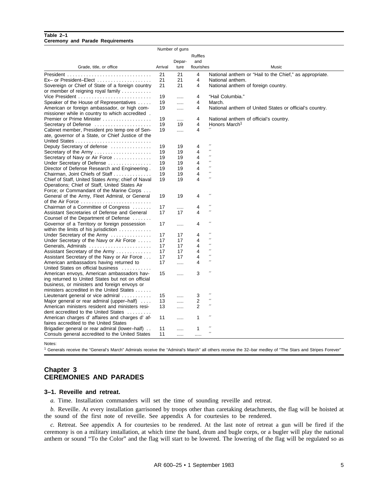#### **Table 2–1 Ceremony and Parade Requirements**

|                                                              |         | Number of guns |                |                                                                                                               |
|--------------------------------------------------------------|---------|----------------|----------------|---------------------------------------------------------------------------------------------------------------|
|                                                              |         |                | <b>Ruffles</b> |                                                                                                               |
|                                                              |         | Depar-         | and            |                                                                                                               |
| Grade, title, or office                                      | Arrival | ture           | flourishes     | Music                                                                                                         |
|                                                              |         |                |                |                                                                                                               |
|                                                              | 21      | 21             | 4              | National anthem or "Hail to the Chief," as appropriate.                                                       |
| $Ex-$ or President–Elect                                     | 21      | 21             | 4              | National anthem.                                                                                              |
| Sovereign or Chief of State of a foreign country             | 21      | 21             | 4              | National anthem of foreign country.                                                                           |
| or member of reigning royal family $\ldots \ldots \ldots$    |         |                |                |                                                                                                               |
|                                                              | 19      | .              | 4              | "Hail Columbia."                                                                                              |
| Speaker of the House of Representatives                      | 19      | $\cdots$       | 4              | March.                                                                                                        |
| American or foreign ambassador, or high com-                 | 19      | $\cdots$       | 4              | National anthem of United States or official's country.                                                       |
| missioner while in country to which accredited.              |         |                |                |                                                                                                               |
| Premier or Prime Minister                                    | 19      | .              | 4              | National anthem of official's country.                                                                        |
| Secretary of Defense                                         | 19      | 19             | $\overline{4}$ | Honors March <sup>1</sup>                                                                                     |
| Cabinet member, President pro temp ore of Sen-               | 19      | .              | $\overline{4}$ |                                                                                                               |
| ate, governor of a State, or Chief Justice of the            |         |                |                |                                                                                                               |
|                                                              |         |                |                | $^{\prime\prime}$                                                                                             |
| Deputy Secretary of defense                                  | 19      | 19             | 4              | $^{\prime\prime}$                                                                                             |
| Secretary of the Army                                        | 19      | 19             | 4              | $^{\prime\prime}$                                                                                             |
| Secretary of Navy or Air Force                               | 19      | 19             | 4              | $\mathcal{L}^{\prime}(\mathcal{C})=\mathcal{L}^{\prime}(\mathcal{C})\otimes\mathcal{L}^{\prime}(\mathcal{C})$ |
| Under Secretary of Defense                                   | 19      | 19             | 4              | $^{\prime\prime}$                                                                                             |
| Director of Defense Research and Engineering.                | 19      | 19             | 4              | $^{\prime\prime}$                                                                                             |
| Chairman, Joint Chiefs of Staff                              | 19      | 19             | 4              | $^{\prime\prime}$                                                                                             |
| Chief of Staff, United States Army; chief of Naval           | 19      | 19             | 4              |                                                                                                               |
| Operations; Chief of Staff, United States Air                |         |                |                |                                                                                                               |
| Force; or Commandant of the Marine Corps                     |         |                |                |                                                                                                               |
| General of the Army, Fleet Admiral, or General               | 19      | 19             | 4              | $^{\prime\prime}$                                                                                             |
| of the Air Force                                             |         |                |                |                                                                                                               |
| Chairman of a Committee of Congress                          | 17      | .              | 4              | $^{\prime\prime}$                                                                                             |
| Assistant Secretaries of Defense and General                 | 17      | 17             | 4              | $^{\prime\prime}$                                                                                             |
| Counsel of the Department of Defense                         |         |                |                |                                                                                                               |
| Governor of a Territory or foreign possession                | 17      |                | 4              | $^{\prime\prime}$                                                                                             |
| within the limits of his jurisdiction $\ldots \ldots \ldots$ |         |                |                |                                                                                                               |
| Under Secretary of the Army                                  | 17      | 17             | 4              | $^{\prime\prime}$                                                                                             |
| Under Secretary of the Navy or Air Force                     | 17      | 17             | 4              | $^{\prime}$                                                                                                   |
|                                                              | 17      | 17             | 4              | $^{\prime\prime}$                                                                                             |
| Assistant Secretary of the Army                              | 17      | 17             | 4              | $^{\prime\prime}$                                                                                             |
| Assistant Secretary of the Navy or Air Force                 | 17      | 17             | 4              | $^{\prime\prime}$                                                                                             |
| American ambassadors having returned to                      | 17      | .              | 4              | $^{\prime\prime}$                                                                                             |
| United States on official business                           |         |                |                |                                                                                                               |
| American envoys, American ambassadors hav-                   | 15      |                | 3              | $^{\prime\prime}$                                                                                             |
| ing returned to United States but not on official            |         |                |                |                                                                                                               |
| business, or ministers and foreign envoys or                 |         |                |                |                                                                                                               |
| ministers accredited in the United States                    |         |                |                |                                                                                                               |
| Lieutenant general or vice admiral $\ldots \ldots \ldots$    | 15      | .              | 3              | $^{\prime\prime}$                                                                                             |
| Major general or rear admiral (upper-half)                   | 13      |                | 2              | $\mathcal{L}^{\prime}(\mathcal{C})=\mathcal{L}^{\prime}(\mathcal{C})\otimes\mathcal{L}^{\prime}(\mathcal{C})$ |
| American ministers resident and ministers resi-              | 13      | $\cdots$       | 2              | $^{\prime\prime}$                                                                                             |
| dent accredited to the United States                         |         |                |                |                                                                                                               |
| American charges d'affaires and charges d'af-                | 11      | $\cdots$       | 1              | $^{\prime\prime}$                                                                                             |
| faires accredited to the United States                       |         |                |                |                                                                                                               |
| Brigadier general or rear admiral (lower-half).              | 11      | .              | 1              | $^{\prime\prime}$                                                                                             |
| Consuls general accredited to the United States              | 11      | $\cdots$       | .              | $\mathcal{L}^{\prime}(\mathcal{C})=\mathcal{L}^{\prime}(\mathcal{C})\otimes\mathcal{L}^{\prime}(\mathcal{C})$ |
|                                                              |         |                |                |                                                                                                               |

Notes:

<sup>1</sup> Generals receive the "General's March" Admirals receive the "Admiral's March" all others receive the 32–bar medley of "The Stars and Stripes Forever"

#### **Chapter 3 CEREMONIES AND PARADES**

#### **3–1. Reveille and retreat.**

*a.* Time. Installation commanders will set the time of sounding reveille and retreat.

*b.* Reveille. At every installation garrisoned by troops other than caretaking detachments, the flag will be hoisted at the sound of the first note of reveille. See appendix A for courtesies to be rendered.

*c.* Retreat. See appendix A for courtesies to be rendered. At the last note of retreat a gun will be fired if the ceremony is on a military installation, at which time the band, drum and bugle corps, or a bugler will play the national anthem or sound "To the Color" and the flag will start to be lowered. The lowering of the flag will be regulated so as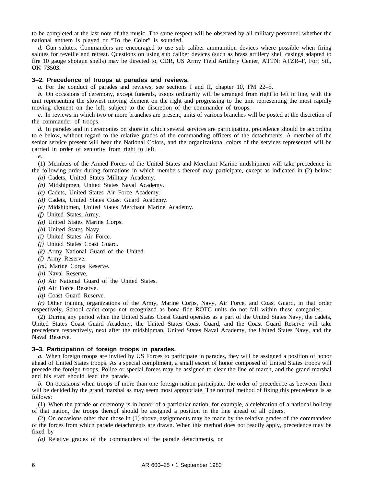to be completed at the last note of the music. The same respect will be observed by all military personnel whether the national anthem is played or "To the Color" is sounded.

*d.* Gun salutes. Commanders are encouraged to use sub caliber ammunition devices where possible when firing salutes for reveille and retreat. Questions on using sub caliber devices (such as brass artillery shell casings adapted to fire 10 gauge shotgun shells) may be directed to, CDR, US Army Field Artillery Center, ATTN: ATZR–F, Fort Sill, OK 73503.

#### **3–2. Precedence of troops at parades and reviews.**

*a.* For the conduct of parades and reviews, see sections I and II, chapter 10, FM 22–5.

*b.* On occasions of ceremony, except funerals, troops ordinarily will be arranged from right to left in line, with the unit representing the slowest moving element on the right and progressing to the unit representing the most rapidly moving element on the left, subject to the discretion of the commander of troops.

*c.* In reviews in which two or more branches are present, units of various branches will be posted at the discretion of the commander of troops.

*d.* In parades and in ceremonies on shore in which several services are participating, precedence should be according to e below, without regard to the relative grades of the commanding officers of the detachments. A member of the senior service present will bear the National Colors, and the organizational colors of the services represented will be carried in order of seniority from right to left.

*e.* 

(1) Members of the Armed Forces of the United States and Merchant Marine midshipmen will take precedence in the following order during formations in which members thereof may participate, except as indicated in (2) below: *(a)* Cadets, United States Military Academy.

- *(b)* Midshipmen, United States Naval Academy.
- *(c)* Cadets, United States Air Force Academy.
- *(d)* Cadets, United States Coast Guard Academy.
- 
- *(e)* Midshipmen, United States Merchant Marine Academy.
- *(f)* United States Army.
- *(g)* United States Marine Corps.
- *(h)* United States Navy.
- *(i)* United States Air Force.
- *(j)* United States Coast Guard.
- *(k)* Army National Guard of the United
- *(l)* Army Reserve.
- *(m)* Marine Corps Reserve.
- *(n)* Naval Reserve.
- *(o)* Air National Guard of the United States.
- *(p)* Air Force Reserve.
- *(q)* Coast Guard Reserve.

*(r)* Other training organizations of the Army, Marine Corps, Navy, Air Force, and Coast Guard, in that order respectively. School cadet corps not recognized as bona fide ROTC units do not fall within these categories.

(2) During any period when the United States Coast Guard operates as a part of the United States Navy, the cadets, United States Coast Guard Academy, the United States Coast Guard, and the Coast Guard Reserve will take precedence respectively, next after the midshipman, United States Naval Academy, the United States Navy, and the Naval Reserve.

#### **3–3. Participation of foreign troops in parades.**

*a.* When foreign troops are invited by US Forces to participate in parades, they will be assigned a position of honor ahead of United States troops. As a special compliment, a small escort of honor composed of United States troops will precede the foreign troops. Police or special forces may be assigned to clear the line of march, and the grand marshal and his staff should lead the parade.

*b.* On occasions when troops of more than one foreign nation participate, the order of precedence as between them will be decided by the grand marshal as may seem most appropriate. The normal method of fixing this precedence is as follows:

(1) When the parade or ceremony is in honor of a particular nation, for example, a celebration of a national holiday of that nation, the troops thereof should be assigned a position in the line ahead of all others.

(2) On occasions other than those in (1) above, assignments may be made by the relative grades of the commanders of the forces from which parade detachments are drawn. When this method does not readily apply, precedence may be fixed by—

*(a)* Relative grades of the commanders of the parade detachments, or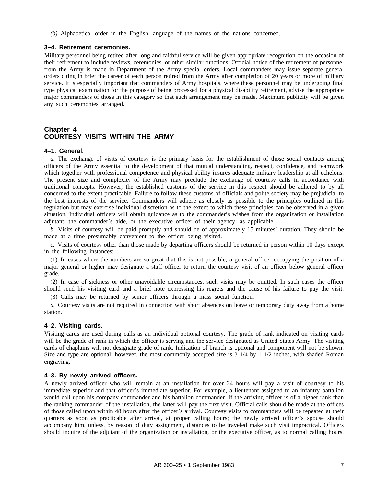*(b)* Alphabetical order in the English language of the names of the nations concerned.

#### **3–4. Retirement ceremonies.**

Military personnel being retired after long and faithful service will be given appropriate recognition on the occasion of their retirement to include reviews, ceremonies, or other similar functions. Official notice of the retirement of personnel from the Army is made in Department of the Army special orders. Local commanders may issue separate general orders citing in brief the career of each person retired from the Army after completion of 20 years or more of military service. It is especially important that commanders of Army hospitals, where these personnel may be undergoing final type physical examination for the purpose of being processed for a physical disability retirement, advise the appropriate major commanders of those in this category so that such arrangement may be made. Maximum publicity will be given any such ceremonies arranged.

#### **Chapter 4 COURTESY VISITS WITHIN THE ARMY**

#### **4–1. General.**

*a.* The exchange of visits of courtesy is the primary basis for the establishment of those social contacts among officers of the Army essential to the development of that mutual understanding, respect, confidence, and teamwork which together with professional competence and physical ability insures adequate military leadership at all echelons. The present size and complexity of the Army may preclude the exchange of courtesy calls in accordance with traditional concepts. However, the established customs of the service in this respect should be adhered to by all concerned to the extent practicable. Failure to follow these customs of officials and polite society may be prejudicial to the best interests of the service. Commanders will adhere as closely as possible to the principles outlined in this regulation but may exercise individual discretion as to the extent to which these principles can be observed in a given situation. Individual officers will obtain guidance as to the commander's wishes from the organization or installation adjutant, the commander's aide, or the executive officer of their agency, as applicable.

*b.* Visits of courtesy will be paid promptly and should be of approximately 15 minutes' duration. They should be made at a time presumably convenient to the officer being visited.

*c.* Visits of courtesy other than those made by departing officers should be returned in person within 10 days except in the following instances:

(1) In cases where the numbers are so great that this is not possible, a general officer occupying the position of a major general or higher may designate a staff officer to return the courtesy visit of an officer below general officer grade.

(2) In case of sickness or other unavoidable circumstances, such visits may be omitted. In such cases the officer should send his visiting card and a brief note expressing his regrets and the cause of his failure to pay the visit.

(3) Calls may be returned by senior officers through a mass social function.

*d.* Courtesy visits are not required in connection with short absences on leave or temporary duty away from a home station.

#### **4–2. Visiting cards.**

Visiting cards are used during calls as an individual optional courtesy. The grade of rank indicated on visiting cards will be the grade of rank in which the officer is serving and the service designated as United States Army. The visiting cards of chaplains will not designate grade of rank. Indication of branch is optional and component will not be shown. Size and type are optional; however, the most commonly accepted size is 3 1/4 by 1 1/2 inches, with shaded Roman engraving.

#### **4–3. By newly arrived officers.**

A newly arrived officer who will remain at an installation for over 24 hours will pay a visit of courtesy to his immediate superior and that officer's immediate superior. For example, a lieutenant assigned to an infantry battalion would call upon his company commander and his battalion commander. If the arriving officer is of a higher rank than the ranking commander of the installation, the latter will pay the first visit. Official calls should be made at the offices of those called upon within 48 hours after the officer's arrival. Courtesy visits to commanders will be repeated at their quarters as soon as practicable after arrival, at proper calling hours; the newly arrived officer's spouse should accompany him, unless, by reason of duty assignment, distances to be traveled make such visit impractical. Officers should inquire of the adjutant of the organization or installation, or the executive officer, as to normal calling hours.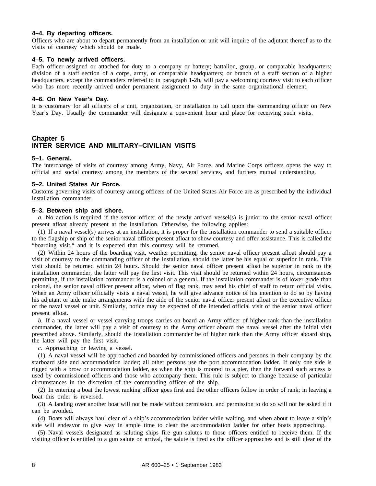#### **4–4. By departing officers.**

Officers who are about to depart permanently from an installation or unit will inquire of the adjutant thereof as to the visits of courtesy which should be made.

#### **4–5. To newly arrived officers.**

Each officer assigned or attached for duty to a company or battery; battalion, group, or comparable headquarters; division of a staff section of a corps, army, or comparable headquarters; or branch of a staff section of a higher headquarters, except the commanders referred to in paragraph 1-2b, will pay a welcoming courtesy visit to each officer who has more recently arrived under permanent assignment to duty in the same organizational element.

#### **4–6. On New Year's Day.**

It is customary for all officers of a unit, organization, or installation to call upon the commanding officer on New Year's Day. Usually the commander will designate a convenient hour and place for receiving such visits.

#### **Chapter 5 INTER SERVICE AND MILITARY–CIVILIAN VISITS**

#### **5–1. General.**

The interchange of visits of courtesy among Army, Navy, Air Force, and Marine Corps officers opens the way to official and social courtesy among the members of the several services, and furthers mutual understanding.

#### **5–2. United States Air Force.**

Customs governing visits of courtesy among officers of the United States Air Force are as prescribed by the individual installation commander.

#### **5–3. Between ship and shore.**

*a.* No action is required if the senior officer of the newly arrived vessel(s) is junior to the senior naval officer present afloat already present at the installation. Otherwise, the following applies:

(1) If a naval vessel(s) arrives at an installation, it is proper for the installation commander to send a suitable officer to the flagship or ship of the senior naval officer present afloat to show courtesy and offer assistance. This is called the "boarding visit," and it is expected that this courtesy will be returned.

(2) Within 24 hours of the boarding visit, weather permitting, the senior naval officer present afloat should pay a visit of courtesy to the commanding officer of the installation, should the latter be his equal or superior in rank. This visit should be returned within 24 hours. Should the senior naval officer present afloat be superior in rank to the installation commander, the latter will pay the first visit. This visit should be returned within 24 hours, circumstances permitting, if the installation commander is a colonel or a general. If the installation commander is of lower grade than colonel, the senior naval officer present afloat, when of flag rank, may send his chief of staff to return official visits. When an Army officer officially visits a naval vessel, he will give advance notice of his intention to do so by having his adjutant or aide make arrangements with the aide of the senior naval officer present afloat or the executive officer of the naval vessel or unit. Similarly, notice may be expected of the intended official visit of the senior naval officer present afloat.

*b.* If a naval vessel or vessel carrying troops carries on board an Army officer of higher rank than the installation commander, the latter will pay a visit of courtesy to the Army officer aboard the naval vessel after the initial visit prescribed above. Similarly, should the installation commander be of higher rank than the Army officer aboard ship, the latter will pay the first visit.

*c.* Approaching or leaving a vessel.

(1) A naval vessel will be approached and boarded by commissioned officers and persons in their company by the starboard side and accommodation ladder; all other persons use the port accommodation ladder. If only one side is rigged with a brow or accommodation ladder, as when the ship is moored to a pier, then the forward such access is used by commissioned officers and those who accompany them. This rule is subject to change because of particular circumstances in the discretion of the commanding officer of the ship.

(2) In entering a boat the lowest ranking officer goes first and the other officers follow in order of rank; in leaving a boat this order is reversed.

(3) A landing over another boat will not be made without permission, and permission to do so will not be asked if it can be avoided.

(4) Boats will always haul clear of a ship's accommodation ladder while waiting, and when about to leave a ship's side will endeavor to give way in ample time to clear the accommodation ladder for other boats approaching.

(5) Naval vessels designated as saluting ships fire gun salutes to those officers entitled to receive them. If the visiting officer is entitled to a gun salute on arrival, the salute is fired as the officer approaches and is still clear of the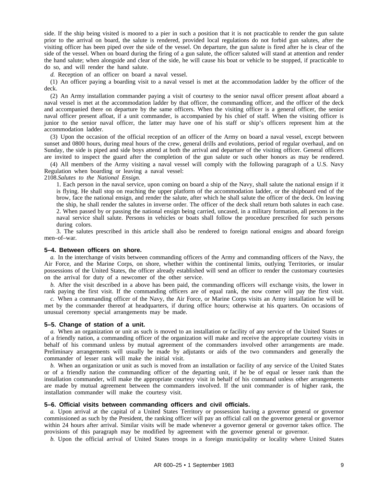side. If the ship being visited is moored to a pier in such a position that it is not practicable to render the gun salute prior to the arrival on board, the salute is rendered, provided local regulations do not forbid gun salutes, after the visiting officer has been piped over the side of the vessel. On departure, the gun salute is fired after he is clear of the side of the vessel. When on board during the firing of a gun salute, the officer saluted will stand at attention and render the hand salute; when alongside and clear of the side, he will cause his boat or vehicle to be stopped, if practicable to do so, and will render the hand salute.

*d.* Reception of an officer on board a naval vessel.

(1) An officer paying a boarding visit to a naval vessel is met at the accommodation ladder by the officer of the deck.

(2) An Army installation commander paying a visit of courtesy to the senior naval officer present afloat aboard a naval vessel is met at the accommodation ladder by that officer, the commanding officer, and the officer of the deck and accompanied there on departure by the same officers. When the visiting officer is a general officer, the senior naval officer present afloat, if a unit commander, is accompanied by his chief of staff. When the visiting officer is junior to the senior naval officer, the latter may have one of his staff or ship's officers represent him at the accommodation ladder.

(3) Upon the occasion of the official reception of an officer of the Army on board a naval vessel, except between sunset and 0800 hours, during meal hours of the crew, general drills and evolutions, period of regular overhaul, and on Sunday, the side is piped and side boys attend at both the arrival and departure of the visiting officer. General officers are invited to inspect the guard after the completion of the gun salute or such other honors as may be rendered.

(4) All members of the Army visiting a naval vessel will comply with the following paragraph of a U.S. Navy Regulation when boarding or leaving a naval vessel:

2108.*Salutes to the National Ensign.*

1. Each person in the naval service, upon coming on board a ship of the Navy, shall salute the national ensign if it is flying. He shall stop on reaching the upper platform of the accommodation ladder, or the shipboard end of the brow, face the national ensign, and render the salute, after which he shall salute the officer of the deck. On leaving the ship, he shall render the salutes in inverse order. The officer of the deck shall return both salutes in each case. 2. When passed by or passing the national ensign being carried, uncased, in a military formation, all persons in the naval service shall salute. Persons in vehicles or boats shall follow the procedure prescribed for such persons during colors.

3. The salutes prescribed in this article shall also be rendered to foreign national ensigns and aboard foreign men–of–war.

#### **5–4. Between officers on shore.**

*a.* In the interchange of visits between commanding officers of the Army and commanding officers of the Navy, the Air Force, and the Marine Corps, on shore, whether within the continental limits, outlying Territories, or insular possessions of the United States, the officer already established will send an officer to render the customary courtesies on the arrival for duty of a newcomer of the other service.

*b.* After the visit described in a above has been paid, the commanding officers will exchange visits, the lower in rank paying the first visit. If the commanding officers are of equal rank, the now comer will pay the first visit.

*c.* When a commanding officer of the Navy, the Air Force, or Marine Corps visits an Army installation he will be met by the commander thereof at headquarters, if during office hours; otherwise at his quarters. On occasions of unusual ceremony special arrangements may be made.

#### **5–5. Change of station of a unit.**

*a.* When an organization or unit as such is moved to an installation or facility of any service of the United States or of a friendly nation, a commanding officer of the organization will make and receive the appropriate courtesy visits in behalf of his command unless by mutual agreement of the commanders involved other arrangements are made. Preliminary arrangements will usually be made by adjutants or aids of the two commanders and generally the commander of lesser rank will make the initial visit.

*b.* When an organization or unit as such is moved from an installation or facility of any service of the United States or of a friendly nation the commanding officer of the departing unit, if he be of equal or lesser rank than the installation commander, will make the appropriate courtesy visit in behalf of his command unless other arrangements are made by mutual agreement between the commanders involved. If the unit commander is of higher rank, the installation commander will make the courtesy visit.

#### **5–6. Official visits between commanding officers and civil officials.**

*a.* Upon arrival at the capital of a United States Territory or possession having a governor general or governor commissioned as such by the President, the ranking officer will pay an official call on the governor general or governor within 24 hours after arrival. Similar visits will be made whenever a governor general or governor takes office. The provisions of this paragraph may be modified by agreement with the governor general or governor.

*b.* Upon the official arrival of United States troops in a foreign municipality or locality where United States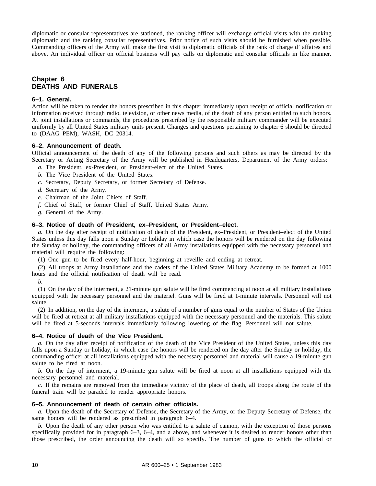diplomatic or consular representatives are stationed, the ranking officer will exchange official visits with the ranking diplomatic and the ranking consular representatives. Prior notice of such visits should be furnished when possible. Commanding officers of the Army will make the first visit to diplomatic officials of the rank of charge d' affaires and above. An individual officer on official business will pay calls on diplomatic and consular officials in like manner.

#### **Chapter 6 DEATHS AND FUNERALS**

#### **6–1. General.**

Action will be taken to render the honors prescribed in this chapter immediately upon receipt of official notification or information received through radio, television, or other news media, of the death of any person entitled to such honors. At joint installations or commands, the procedures prescribed by the responsible military commander will be executed uniformly by all United States military units present. Changes and questions pertaining to chapter 6 should be directed to (DAAG–PEM), WASH, DC 20314.

#### **6–2. Announcement of death.**

Official announcement of the death of any of the following persons and such others as may be directed by the Secretary or Acting Secretary of the Army will be published in Headquarters, Department of the Army orders:

- *a.* The President, ex-President, or President-elect of the United States.
- *b.* The Vice President of the United States.
- *c.* Secretary, Deputy Secretary, or former Secretary of Defense.
- *d.* Secretary of the Army.
- *e.* Chairman of the Joint Chiefs of Staff.
- *f.* Chief of Staff, or former Chief of Staff, United States Army.
- *g.* General of the Army.

#### **6–3. Notice of death of President, ex–President, or President–elect.**

*a.* On the day after receipt of notification of death of the President, ex–President, or President–elect of the United States unless this day falls upon a Sunday or holiday in which case the honors will be rendered on the day following the Sunday or holiday, the commanding officers of all Army installations equipped with the necessary personnel and material will require the following:

(1) One gun to be fired every half-hour, beginning at reveille and ending at retreat.

(2) All troops at Army installations and the cadets of the United States Military Academy to be formed at 1000 hours and the official notification of death will be read.

*b.* 

(1) On the day of the interment, a 21-minute gun salute will be fired commencing at noon at all military installations equipped with the necessary personnel and the materiel. Guns will be fired at 1-minute intervals. Personnel will not salute.

(2) In addition, on the day of the interment, a salute of a number of guns equal to the number of States of the Union will be fired at retreat at all military installations equipped with the necessary personnel and the materials. This salute will be fired at 5-seconds intervals immediately following lowering of the flag. Personnel will not salute.

#### **6–4. Notice of death of the Vice President.**

*a.* On the day after receipt of notification of the death of the Vice President of the United States, unless this day falls upon a Sunday or holiday, in which case the honors will be rendered on the day after the Sunday or holiday, the commanding officer at all installations equipped with the necessary personnel and material will cause a 19-minute gun salute to be fired at noon.

*b.* On the day of interment, a 19-minute gun salute will be fired at noon at all installations equipped with the necessary personnel and material.

*c.* If the remains are removed from the immediate vicinity of the place of death, all troops along the route of the funeral train will be paraded to render appropriate honors.

#### **6–5. Announcement of death of certain other officials.**

*a.* Upon the death of the Secretary of Defense, the Secretary of the Army, or the Deputy Secretary of Defense, the same honors will be rendered as prescribed in paragraph 6–4.

*b.* Upon the death of any other person who was entitled to a salute of cannon, with the exception of those persons specifically provided for in paragraph 6–3, 6–4, and a above, and whenever it is desired to render honors other than those prescribed, the order announcing the death will so specify. The number of guns to which the official or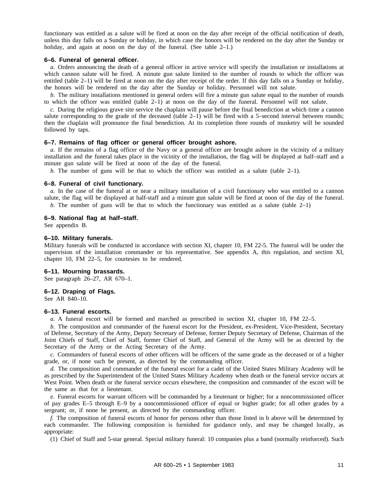functionary was entitled as a salute will be fired at noon on the day after receipt of the official notification of death, unless this day falls on a Sunday or holiday, in which case the honors will be rendered on the day after the Sunday or holiday, and again at noon on the day of the funeral. (See table 2–1.)

#### **6–6. Funeral of general officer.**

*a.* Orders announcing the death of a general officer in active service will specify the installation or installations at which cannon salute will be fired. A minute gun salute limited to the number of rounds to which the officer was entitled (table 2–1) will be fired at noon on the day after receipt of the order. If this day falls on a Sunday or holiday, the honors will be rendered on the day after the Sunday or holiday. Personnel will not salute.

*b.* The military installations mentioned in general orders will fire a minute gun salute equal to the number of rounds to which the officer was entitled (table 2–1) at noon on the day of the funeral. Personnel will not salute.

*c.* During the religious grave site service the chaplain will pause before the final benediction at which time a cannon salute corresponding to the grade of the deceased (table 2–1) will be fired with a 5–second interval between rounds; then the chaplain will pronounce the final benediction. At its completion three rounds of musketry will be sounded followed by taps.

#### **6–7. Remains of flag officer or general officer brought ashore.**

*a.* If the remains of a flag officer of the Navy or a general officer are brought ashore in the vicinity of a military installation and the funeral takes place in the vicinity of the installation, the flag will be displayed at half–staff and a minute gun salute will be fired at noon of the day of the funeral.

*b.* The number of guns will be that to which the officer was entitled as a salute (table  $2-1$ ).

#### **6–8. Funeral of civil functionary.**

*a.* In the case of the funeral at or near a military installation of a civil functionary who was entitled to a cannon salute, the flag will be displayed at half-staff and a minute gun salute will be fired at noon of the day of the funeral.

*b.* The number of guns will be that to which the functionary was entitled as a salute (table  $2-1$ )

#### **6–9. National flag at half–staff.**

See appendix B.

#### **6–10. Military funerals.**

Military funerals will be conducted in accordance with section XI, chapter 10, FM 22-5. The funeral will be under the supervision of the installation commander or his representative. See appendix A, this regulation, and section XI, chapter 10, FM 22–5, for courtesies to be rendered.

#### **6–11. Mourning brassards.**

See paragraph 26–27, AR 670–1.

#### **6–12. Draping of Flags.**

See AR 840–10.

#### **6–13. Funeral escorts.**

*a.* A funeral escort will be formed and marched as prescribed in section XI, chapter 10, FM 22–5.

*b.* The composition and commander of the funeral escort for the President, ex-President, Vice-President, Secretary of Defense, Secretary of the Army, Deputy Secretary of Defense, former Deputy Secretary of Defense, Chairman of the Joint Chiefs of Staff, Chief of Staff, former Chief of Staff, and General of the Army will be as directed by the Secretary of the Army or the Acting Secretary of the Army.

*c.* Commanders of funeral escorts of other officers will be officers of the same grade as the deceased or of a higher grade, or, if none such be present, as directed by the commanding officer.

*d.* The composition and commander of the funeral escort for a cadet of the United States Military Academy will be as prescribed by the Superintendent of the United States Military Academy when death or the funeral service occurs at West Point. When death or the funeral service occurs elsewhere, the composition and commander of the escort will be the same as that for a lieutenant.

*e.* Funeral escorts for warrant officers will be commanded by a lieutenant or higher; for a noncommissioned officer of pay grades E–5 through E–9 by a noncommissioned officer of equal or higher grade; for all other grades by a sergeant; or, if none be present, as directed by the commanding officer.

*f.* The composition of funeral escorts of honor for persons other than those listed in b above will be determined by each commander. The following composition is furnished for guidance only, and may be changed locally, as appropriate:

(1) Chief of Staff and 5-star general. Special military funeral: 10 companies plus a band (normally reinforced). Such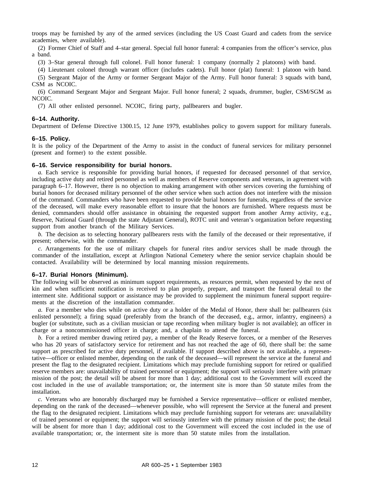troops may be furnished by any of the armed services (including the US Coast Guard and cadets from the service academies, where available).

(2) Former Chief of Staff and 4–star general. Special full honor funeral: 4 companies from the officer's service, plus a band.

(3) 3–Star general through full colonel. Full honor funeral: 1 company (normally 2 platoons) with band.

(4) Lieutenant colonel through warrant officer (includes cadets). Full honor (plat) funeral: 1 platoon with band.

(5) Sergeant Major of the Army or former Sergeant Major of the Army. Full honor funeral: 3 squads with band, CSM as NCOIC.

(6) Command Sergeant Major and Sergeant Major. Full honor funeral; 2 squads, drummer, bugler, CSM/SGM as NCOIC.

(7) All other enlisted personnel. NCOIC, firing party, pallbearers and bugler.

#### **6–14. Authority.**

Department of Defense Directive 1300.15, 12 June 1979, establishes policy to govern support for military funerals.

#### **6–15. Policy.**

It is the policy of the Department of the Army to assist in the conduct of funeral services for military personnel (present and former) to the extent possible.

#### **6–16. Service responsibility for burial honors.**

*a.* Each service is responsible for providing burial honors, if requested for deceased personnel of that service, including active duty and retired personnel as well as members of Reserve components and veterans, in agreement with paragraph 6–17. However, there is no objection to making arrangement with other services covering the furnishing of burial honors for deceased military personnel of the other service when such action does not interfere with the mission of the command. Commanders who have been requested to provide burial honors for funerals, regardless of the service of the deceased, will make every reasonable effort to insure that the honors are furnished. Where requests must be denied, commanders should offer assistance in obtaining the requested support from another Army activity, e.g., Reserve, National Guard (through the state Adjutant General), ROTC unit and veteran's organization before requesting support from another branch of the Military Services.

*b.* The decision as to selecting honorary pallbearers rests with the family of the deceased or their representative, if present; otherwise, with the commander.

*c.* Arrangements for the use of military chapels for funeral rites and/or services shall be made through the commander of the installation, except at Arlington National Cemetery where the senior service chaplain should be contacted. Availability will be determined by local manning mission requirements.

#### **6–17. Burial Honors (Minimum).**

The following will be observed as minimum support requirements, as resources permit, when requested by the next of kin and when sufficient notification is received to plan properly, prepare, and transport the funeral detail to the interment site. Additional support or assistance may be provided to supplement the minimum funeral support requirements at the discretion of the installation commander.

*a.* For a member who dies while on active duty or a holder of the Medal of Honor, there shall be: pallbearers (six enlisted personnel); a firing squad (preferably from the branch of the deceased, e.g., armor, infantry, engineers) a bugler (or substitute, such as a civilian musician or tape recording when military bugler is not available); an officer in charge or a noncommissioned officer in charge; and, a chaplain to attend the funeral.

*b.* For a retired member drawing retired pay, a member of the Ready Reserve forces, or a member of the Reserves who has 20 years of satisfactory service for retirement and has not reached the age of 60, there shall be: the same support as prescribed for active duty personnel, if available. If support described above is not available, a representative—officer or enlisted member, depending on the rank of the deceased—will represent the service at the funeral and present the flag to the designated recipient. Limitations which may preclude furnishing support for retired or qualified reserve members are: unavailability of trained personnel or equipment; the support will seriously interfere with primary mission of the post; the detail will be absent for more than 1 day; additional cost to the Government will exceed the cost included in the use of available transportation; or, the interment site is more than 50 statute miles from the installation.

*c.* Veterans who are honorably discharged may be furnished a Service representative—officer or enlisted member, depending on the rank of the deceased—whenever possible, who will represent the Service at the funeral and present the flag to the designated recipient. Limitations which may preclude furnishing support for veterans are: unavailability of trained personnel or equipment; the support will seriously interfere with the primary mission of the post; the detail will be absent for more than 1 day; additional cost to the Government will exceed the cost included in the use of available transportation; or, the interment site is more than 50 statute miles from the installation.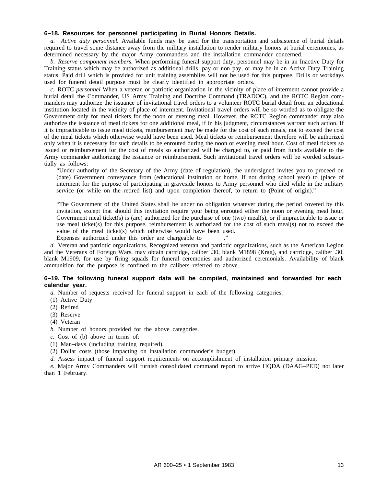#### **6–18. Resources for personnel participating in Burial Honors Details.**

*a. Active duty personnel.* Available funds may be used for the transportation and subsistence of burial details required to travel some distance away from the military installation to render military honors at burial ceremonies, as determined necessary by the major Army commanders and the installation commander concerned.

*b. Reserve component members.* When performing funeral support duty, personnel may be in an Inactive Duty for Training status which may be authorized as additional drills, pay or non pay, or may be in an Active Duty Training status. Paid drill which is provided for unit training assemblies will not be used for this purpose. Drills or workdays used for funeral detail purpose must be clearly identified in appropriate orders.

*c.* ROTC *personnel* When a veteran or patriotic organization in the vicinity of place of interment cannot provide a burial detail the Commander, US Army Training and Doctrine Command (TRADOC), and the ROTC Region commanders may authorize the issuance of invitational travel orders to a volunteer ROTC burial detail from an educational institution located in the vicinity of place of interment. Invitational travel orders will be so worded as to obligate the Government only for meal tickets for the noon or evening meal. However, the ROTC Region commander may also authorize the issuance of meal tickets for one additional meal, if in his judgment, circumstances warrant such action. If it is impracticable to issue meal tickets, reimbursement may be made for the cost of such meals, not to exceed the cost of the meal tickets which otherwise would have been used. Meal tickets or reimbursement therefore will be authorized only when it is necessary for such details to be enrouted during the noon or evening meal hour. Cost of meal tickets so issued or reimbursement for the cost of meals so authorized will be charged to, or paid from funds available to the Army commander authorizing the issuance or reimbursement. Such invitational travel orders will be worded substantially as follows:

"Under authority of the Secretary of the Army (date of regulation), the undersigned invites you to proceed on (date) Government conveyance from (educational institution or home, if not during school year) to (place of interment for the purpose of participating in graveside honors to Army personnel who died while in the military service (or while on the retired list) and upon completion thereof, to return to (Point of origin)."

"The Government of the United States shall be under no obligation whatever during the period covered by this invitation, except that should this invitation require your being enrouted either the noon or evening meal hour, Government meal ticket(s) is (are) authorized for the purchase of one (two) meal(s), or if impracticable to issue or use meal ticket(s) for this purpose, reimbursement is authorized for the cost of such meal(s) not to exceed the value of the meal ticket(s) which otherwise would have been used.

Expenses authorized under this order are chargeable to

*d.* Veteran and patriotic organizations. Recognized veteran and patriotic organizations, such as the American Legion and the Veterans of Foreign Wars, may obtain cartridge, caliber .30, blank M1898 (Krag), and cartridge, caliber .30, blank M1909, for use by firing squads for funeral ceremonies and authorized ceremonials. Availability of blank ammunition for the purpose is confined to the calibers referred to above.

#### **6–19. The following funeral support data will be compiled, maintained and forwarded for each calendar year.**

*a.* Number of requests received for funeral support in each of the following categories:

(1) Active Duty

- (2) Retired
- (3) Reserve
- (4) Veteran
- *b.* Number of honors provided for the above categories.
- *c.* Cost of (b) above in terms of:
- (1) Man–days (including training required).
- (2) Dollar costs (those impacting on installation commander's budget).
- *d.* Assess impact of funeral support requirements on accomplishment of installation primary mission.

*e.* Major Army Commanders will furnish consolidated command report to arrive HQDA (DAAG–PED) not later than 1 February.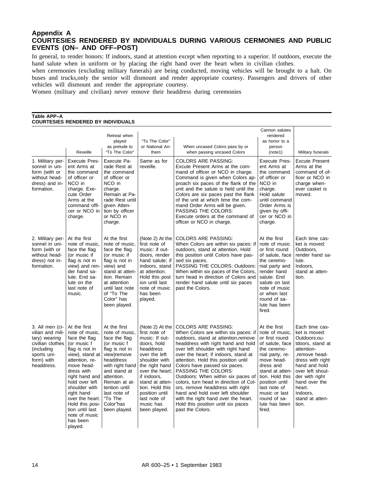#### **Appendix A COURTESIES RENDERED BY INDIVIDUALS DURING VARIOUS CERMONIES AND PUBLIC EVENTS (ON– AND OFF–POST)**

In general, to render honors: If indoors, stand at attention except when reporting to a superior. If outdoors, execute the hand salute when in uniform or by placing the right hand over the heart when in civilian clothes.

when ceremonies (excluding military funerals) are being conducted, moving vehicles will be brought to a halt. On buses and trucks,only the senior will dismount and render appropriate courtesy. Passengers and drivers of other vehicles will dismount and render the appropriate courtesy.

Women (military and civilian) never remove their headdress during ceremonies

#### **Table APP–A COURTESIES RENDERED BY INDIVIDUALS**

|                                                                                                                                   | Reveille                                                                                                                                                                                                                                                                                                              | Retreat when<br>played<br>as prelude to<br>"To The Color"                                                                                                                                                                                               | "To The Color"<br>or National An-<br>them                                                                                                                                                                                                                                 | When uncased Colors pass by or<br>when passing uncased Colors                                                                                                                                                                                                                                                                                                                                                                                                                                                                                                                          | Cannon salutes<br>rendered<br>as honor to a<br>person<br>(note1)                                                                                                                                                                                                     | Military funerals                                                                                                                                                                                                                               |
|-----------------------------------------------------------------------------------------------------------------------------------|-----------------------------------------------------------------------------------------------------------------------------------------------------------------------------------------------------------------------------------------------------------------------------------------------------------------------|---------------------------------------------------------------------------------------------------------------------------------------------------------------------------------------------------------------------------------------------------------|---------------------------------------------------------------------------------------------------------------------------------------------------------------------------------------------------------------------------------------------------------------------------|----------------------------------------------------------------------------------------------------------------------------------------------------------------------------------------------------------------------------------------------------------------------------------------------------------------------------------------------------------------------------------------------------------------------------------------------------------------------------------------------------------------------------------------------------------------------------------------|----------------------------------------------------------------------------------------------------------------------------------------------------------------------------------------------------------------------------------------------------------------------|-------------------------------------------------------------------------------------------------------------------------------------------------------------------------------------------------------------------------------------------------|
| 1. Military per-<br>sonnel in uni-<br>form (with or<br>without head-<br>dress) and in-<br>formation.                              | <b>Execute Pres-</b><br>ent Arms at<br>the command<br>of officer or<br>NCO in<br>charge. Exe-<br>cute Order<br>Arms at the<br>command offi-<br>cer or NCO in<br>charge.                                                                                                                                               | Execute Pa-<br>rade Rest at<br>the command<br>of officer or<br>NCO in<br>charge.<br>Remain at Pa-<br>rade Rest until<br>given Atten-<br>tion by officer<br>or NCO in<br>charge.                                                                         | Same as for<br>reveille.                                                                                                                                                                                                                                                  | <b>COLORS ARE PASSING:</b><br>Excute Present Arms at the com-<br>mand of officer or NCO in charge.<br>Command is given when Colors ap-<br>proach six paces of the flank of the<br>unit and the salute is held until the<br>Colors are six paces past the flank<br>of the unit at which time the com-<br>mand Order Arms will be given.<br>PASSING THE COLORS:<br>Execute orders at the command of<br>officer or NCO in charge.                                                                                                                                                         | <b>Execute Pres-</b><br>ent Arms at<br>the command<br>of officer or<br>NCO in<br>charge.<br>Hold salute<br>until command<br>Order Arms is<br>given by offi-<br>cer or NCO in<br>charge.                                                                              | <b>Excute Present</b><br>Arms at the<br>command of of-<br>ficer or NCO in<br>charge when-<br>ever casket is<br>moved.                                                                                                                           |
| 2. Military per-<br>sonnel in uni-<br>form (with or<br>without head-<br>dress) not in-<br>formation.                              | At the first<br>note of music.<br>face the flag<br>(or music if<br>flag is not in<br>view) and ren-<br>der hand sa-<br>lute. End sa-<br>lute on the<br>last note of<br>music.                                                                                                                                         | At the first<br>note of music.<br>face the flag<br>(or music if<br>flag is not in<br>view) and<br>stand at atten-<br>tion. Remain<br>at attention<br>until last note<br>of "To The<br>Color" has<br>been played.                                        | (Note 2) At the<br>first note of<br>music: if out-<br>doors, render<br>hand salute; if<br>indoors, stand<br>at attention.<br>Hold this post<br>ion until last<br>note of music<br>has been<br>played.                                                                     | <b>COLORS ARE PASSING:</b><br>When Colors are within six paces: if<br>outdoors, stand at attention. Hold<br>this position until Colors have pas-<br>sed six paces.<br>PASSING THE COLORS: Outdoors:<br>When within six paces of the Colors,<br>turn head in direction of Colors and<br>render hand salute until six paces<br>past the Colors.                                                                                                                                                                                                                                          | At the first<br>note of music<br>or first round<br>of salute, face<br>the ceremo-<br>nial party and<br>render hand<br>salute. End<br>salute on last<br>note of music<br>or when last<br>round of sa-<br>lute has been<br>fired.                                      | Each time cas-<br>ket is moved:<br>Outdoors,<br>render hand sa-<br>lute.<br>Indoors.<br>stand at atten-<br>tion.                                                                                                                                |
| 3. All men (ci-<br>vilian and mili-<br>tary) wearing<br>civilian clothes<br>(including<br>sports uni-<br>form) with<br>headdress. | At the first<br>note of music.<br>face the flag<br>(or music f<br>flag is not in<br>view), stand at<br>attention, re-<br>move head-<br>dress with<br>right hand and<br>hold over left<br>shoulder with<br>right hand<br>over the heart.<br>Hold this posi-<br>tion until last<br>note of music<br>has been<br>played. | At the first<br>note of music.<br>face the flag<br>(or music f<br>flag is not in<br>view)remove<br>headdress<br>with right hand<br>and stand at<br>attention.<br>Remain at at-<br>tention until<br>last note of<br>"To The<br>Color"has<br>been played. | (Note 2) At the<br>first note of<br>music: If out-<br>doors, hold<br>headdress<br>over the left<br>shoulder with<br>the right hand<br>over the heart;<br>if indoors.<br>stand at atten-<br>tion. Hold this<br>position until<br>last note of<br>music has<br>been played. | <b>COLORS ARE PASSING:</b><br>When Colors are within six paces: if<br>outdoors, stand at attention, remove<br>headdress with right hand and hold<br>over left shoulder with right hand<br>over the heart; if indoors, stand at<br>attention. Hold this position until<br>Colors have passed six paces.<br>PASSING THE COLORS:<br>Outdoors: When within six paces of<br>colors, turn head in direction of Col-<br>ors, remove headdress with right<br>hand and hold over left shoulder<br>with the right hand over the heart.<br>Hold this position until six paces<br>past the Colors. | At the first<br>note of music.<br>or first round<br>of salute, face<br>the ceremo-<br>nial party, re-<br>move head-<br>dress and<br>stand at atten-<br>tion. Hold this<br>position until<br>last note of<br>music or last<br>round of sa-<br>lute has been<br>fired. | Each time cas-<br>ket is moved:<br>Outdoors:ou-<br>tdoors, stand at<br>attention-<br>remove head-<br>dress with right<br>hand and hold<br>over left shoul-<br>der with right<br>hand over the<br>heart.<br>Indoors.<br>stand at atten-<br>tion. |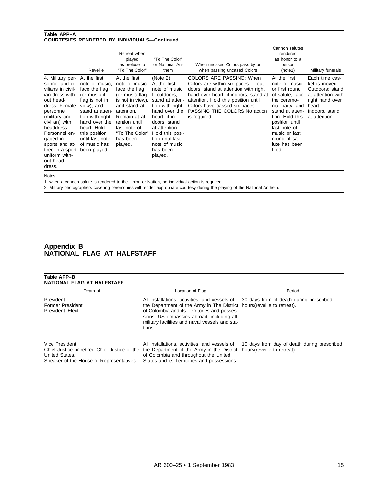#### **Table APP–A COURTESIES RENDERED BY INDIVIDUALS—Continued**

|                                                                                                                                                                                                                                                                                   | Reveille                                                                                                                                                                                                                                  | Retreat when<br>played<br>as prelude to<br>"To The Color"                                                                                                                                                      | "To The Color"<br>or National An-<br>them                                                                                                                                                                                                         | When uncased Colors pass by or<br>when passing uncased Colors                                                                                                                                                                                                              | Cannon salutes<br>rendered<br>as honor to a<br>person<br>(note1)                                                                                                                                                                          | Military funerals                                                                                                                       |
|-----------------------------------------------------------------------------------------------------------------------------------------------------------------------------------------------------------------------------------------------------------------------------------|-------------------------------------------------------------------------------------------------------------------------------------------------------------------------------------------------------------------------------------------|----------------------------------------------------------------------------------------------------------------------------------------------------------------------------------------------------------------|---------------------------------------------------------------------------------------------------------------------------------------------------------------------------------------------------------------------------------------------------|----------------------------------------------------------------------------------------------------------------------------------------------------------------------------------------------------------------------------------------------------------------------------|-------------------------------------------------------------------------------------------------------------------------------------------------------------------------------------------------------------------------------------------|-----------------------------------------------------------------------------------------------------------------------------------------|
| 4. Military per-<br>sonnel and ci-<br>vilians in civil-<br>ian dress with-<br>out head-<br>dress. Female<br>personnel<br>(military and<br>civilian) with<br>headdress.<br>Personnel en-<br>gaged in<br>sports and at-<br>tired in a sport<br>uniform with-<br>out head-<br>dress. | At the first<br>note of music.<br>face the flag<br>(or music if<br>flag is not in<br>view), and<br>stand at atten-<br>tion with right<br>hand over the<br>heart. Hold<br>this position<br>until last note<br>of music has<br>been played. | At the first<br>note of music.<br>face the flag<br>(or music flag<br>is not in view).<br>and stand at<br>attention.<br>Remain at at-<br>tention until<br>last note of<br>"To The Color"<br>has been<br>played. | (Note 2)<br>At the first<br>note of music:<br>If outdoors.<br>stand at atten-<br>tion with right<br>hand over the<br>heart; if in-<br>doors, stand<br>at attention.<br>Hold this posi-<br>tion until last<br>note of music<br>has been<br>played. | COLORS ARE PASSING: When<br>Colors are within six paces: If out-<br>doors, stand at attention with right<br>hand over heart; if indoors, stand at<br>attention. Hold this position until<br>Colors have passed six paces.<br>PASSING THE COLORS: No action<br>is required. | At the first<br>note of music.<br>or first round<br>of salute, face<br>the ceremo-<br>nial party, and<br>stand at atten-<br>tion. Hold this<br>position until<br>last note of<br>music or last<br>round of sa-<br>lute has been<br>fired. | Each time cas-<br>ket is moved:<br>Outdoors: stand<br>at attention with<br>right hand over<br>heart.<br>Indoors, stand<br>at attention. |

Notes:

1. when a cannon salute is rendered to the Union or Nation, no individual action is required.

2. Military photographers covering ceremonies will render appropriate courtesy during the playing of the National Anthem.

#### **Appendix B NATIONAL FLAG AT HALFSTAFF**

| Table APP-B<br>NATIONAL FLAG AT HALFSTAFF                                                                                    |                                                                                                                                                                                                                                                                                  |                                                                             |
|------------------------------------------------------------------------------------------------------------------------------|----------------------------------------------------------------------------------------------------------------------------------------------------------------------------------------------------------------------------------------------------------------------------------|-----------------------------------------------------------------------------|
| Death of                                                                                                                     | Location of Flag                                                                                                                                                                                                                                                                 | Period                                                                      |
| President<br><b>Former President</b><br>President-Elect                                                                      | All installations, activities, and vessels of<br>the Department of the Army in The District hours (reveille to retreat).<br>of Colombia and its Territories and posses-<br>sions. US embassies abroad, including all<br>military facilities and naval vessels and sta-<br>tions. | 30 days from of death during prescribed                                     |
| Vice President<br>Chief Justice or retired Chief Justice of the<br>United States.<br>Speaker of the House of Representatives | All installations, activities, and vessels of<br>the Department of the Army in the District<br>of Colombia and throughout the United<br>States and its Territories and possessions.                                                                                              | 10 days from day of death during prescribed<br>hours (reveille to retreat). |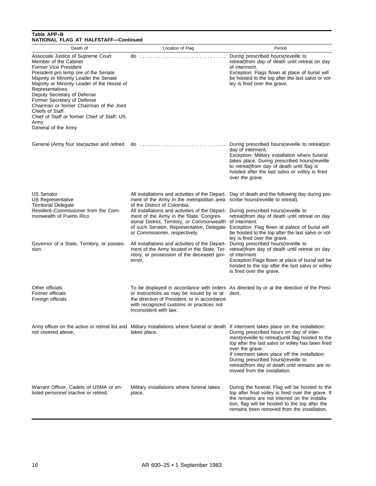#### **Table APP–B NATIONAL FLAG AT HALFSTAFF—Continued**

| Death of                                                                                                                                                                                                                                                                                                                                                                                                                                            | Location of Flag                                                                                                                                                                                                                                                                                                                                                                                                                                                                                                                              | Period                                                                                                                                                                                                                                                                                                                                                                                              |
|-----------------------------------------------------------------------------------------------------------------------------------------------------------------------------------------------------------------------------------------------------------------------------------------------------------------------------------------------------------------------------------------------------------------------------------------------------|-----------------------------------------------------------------------------------------------------------------------------------------------------------------------------------------------------------------------------------------------------------------------------------------------------------------------------------------------------------------------------------------------------------------------------------------------------------------------------------------------------------------------------------------------|-----------------------------------------------------------------------------------------------------------------------------------------------------------------------------------------------------------------------------------------------------------------------------------------------------------------------------------------------------------------------------------------------------|
| Associate Justice of Supreme Court<br>Member of the Cabinet<br>Former Vice President<br>President pro temp ore of the Senate<br>Majority or Minority Leader the Senate<br>Majority or Minority Leader of the House of<br>Representatives<br>Deputy Secretary of Defense<br>Former Secretary of Defense<br>Chairman or former Chairman of the Joint<br>Chiefs of Staff<br>Chief of Staff or former Chief of Staff, US<br>Army<br>General of the Army | $\mathsf{do}$                                                                                                                                                                                                                                                                                                                                                                                                                                                                                                                                 | During prescribed hours (reveille to<br>retreat) from day of death until retreat on day<br>of interment.<br>Exception: Flags flown at place of burial will<br>be hoisted to the top after the last salvo or vol-<br>ley is fired over the grave.                                                                                                                                                    |
| General (Army four star)active and retired                                                                                                                                                                                                                                                                                                                                                                                                          | $do$                                                                                                                                                                                                                                                                                                                                                                                                                                                                                                                                          | During prescribed hours (reveille to retreat) on<br>day of interment.<br>Exception: Military installation where funeral<br>takes place. During prescribed hours (reveille<br>to retreat) from day of death until flag is<br>hoisted after the last salvo or volley is fired<br>over the grave.                                                                                                      |
| US Senator<br>US Representative<br><b>Territorial Delegate</b><br>Resident-Commissioner from the Com-<br>monwealth of Puerto Rico<br>Governor of a State, Territory, or posses-<br>sion.                                                                                                                                                                                                                                                            | ment of the Army in the metropolitan area<br>of the District of Colombia.<br>All installations and activities of the Depart- During prescribed hours (reveille to<br>ment of the Army in the State. Congres-<br>sional District, Territory, or Commonwealth of interment.<br>of such Senator, Representative, Delegate<br>or Commissioner, respectively.<br>All installations and activities of the Depart- During prescribed hours (reveille to<br>ment of the Army located in the State, Ter-<br>ritory, or possession of the deceased gov- | All installations and activities of the Depart- Day of death and the following day during pre-<br>scribe hours (reveille to retreat).<br>retreat) from day of death until retreat on day<br>Exception: Flag flown at palace of burial will<br>be hoisted to the top after the last salvo or vol-<br>ley is fired over the grave.<br>retreat) from day of death until retreat on day<br>of interment |
|                                                                                                                                                                                                                                                                                                                                                                                                                                                     | ernor.                                                                                                                                                                                                                                                                                                                                                                                                                                                                                                                                        | Exception: Flags flown at place of burial will be<br>hoisted to the top after the last salvo or volley<br>is fired over the grave.                                                                                                                                                                                                                                                                  |
| Other officials<br>Former officials<br>Foreign officials                                                                                                                                                                                                                                                                                                                                                                                            | or instructions as may be issued by or at<br>the direction of President, or in accordance<br>with recognized customs or practices not<br>inconsistent with law.                                                                                                                                                                                                                                                                                                                                                                               | To be displayed in accordance with orders As directed by or at the direction of the Presi-<br>dent.                                                                                                                                                                                                                                                                                                 |
| not covered above,                                                                                                                                                                                                                                                                                                                                                                                                                                  | Army officer on the active or retired list and Military installations where funeral or death If interment takes place on the installation:<br>takes place.                                                                                                                                                                                                                                                                                                                                                                                    | During prescribed hours on day of inter-<br>ment(reveille to retreat) until flag hoisted to the<br>top after the last salvo or volley has been fired<br>over the grave.<br>If interment takes place off the installation:<br>During prescribed hours(reveille to<br>retreat) from day of death until remains are re-<br>moved from the installation.                                                |
| Warrant Officer, Cadets of USMA or en-<br>listed personnel inactive or retired.                                                                                                                                                                                                                                                                                                                                                                     | Military installations where funeral takes<br>place.                                                                                                                                                                                                                                                                                                                                                                                                                                                                                          | During the funeral: Flag will be hoisted to the<br>top after final volley is fired over the grave. If<br>the remains are not interred on the installa-<br>tion, flag will be hoisted to the top after the<br>remains been removed from the installation.                                                                                                                                            |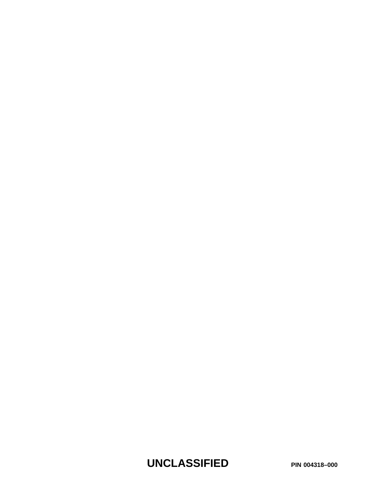**UNCLASSIFIED PIN 004318–000**